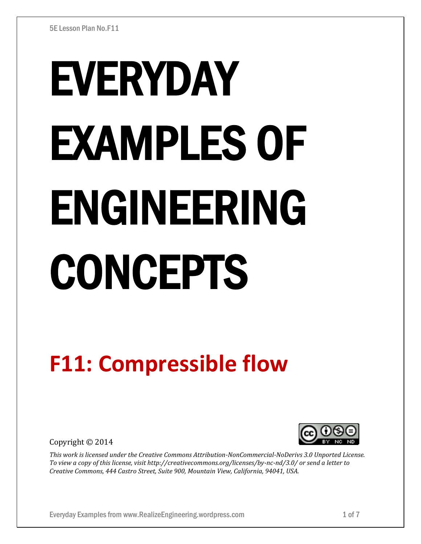# EVERYDAY EXAMPLES OF ENGINEERING CONCEPTS

# **F11: Compressible flow**

Copyright © 2014



*This work is licensed under the Creative Commons Attribution-NonCommercial-NoDerivs 3.0 Unported License. To view a copy of this license, visit http://creativecommons.org/licenses/by-nc-nd/3.0/ or send a letter to Creative Commons, 444 Castro Street, Suite 900, Mountain View, California, 94041, USA.*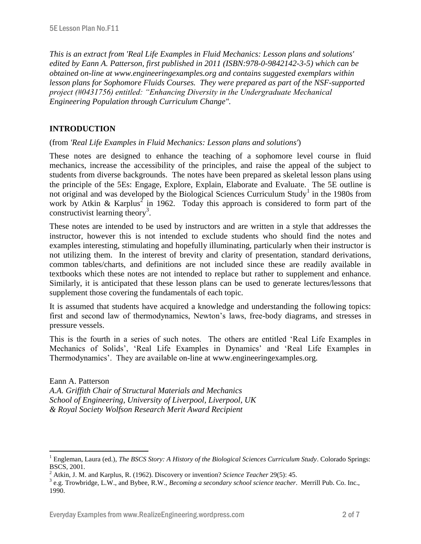*This is an extract from 'Real Life Examples in Fluid Mechanics: Lesson plans and solutions' edited by Eann A. Patterson, first published in 2011 (ISBN:978-0-9842142-3-5) which can be obtained on-line at www.engineeringexamples.org and contains suggested exemplars within lesson plans for Sophomore Fluids Courses. They were prepared as part of the NSF-supported project (#0431756) entitled: "Enhancing Diversity in the Undergraduate Mechanical Engineering Population through Curriculum Change".* 

## **INTRODUCTION**

 $\overline{a}$ 

(from *'Real Life Examples in Fluid Mechanics: Lesson plans and solutions'*)

These notes are designed to enhance the teaching of a sophomore level course in fluid mechanics, increase the accessibility of the principles, and raise the appeal of the subject to students from diverse backgrounds. The notes have been prepared as skeletal lesson plans using the principle of the 5Es: Engage, Explore, Explain, Elaborate and Evaluate. The 5E outline is not original and was developed by the Biological Sciences Curriculum Study<sup>1</sup> in the 1980s from work by Atkin & Karplus<sup>2</sup> in 1962. Today this approach is considered to form part of the constructivist learning theory<sup>3</sup>.

These notes are intended to be used by instructors and are written in a style that addresses the instructor, however this is not intended to exclude students who should find the notes and examples interesting, stimulating and hopefully illuminating, particularly when their instructor is not utilizing them. In the interest of brevity and clarity of presentation, standard derivations, common tables/charts, and definitions are not included since these are readily available in textbooks which these notes are not intended to replace but rather to supplement and enhance. Similarly, it is anticipated that these lesson plans can be used to generate lectures/lessons that supplement those covering the fundamentals of each topic.

It is assumed that students have acquired a knowledge and understanding the following topics: first and second law of thermodynamics, Newton's laws, free-body diagrams, and stresses in pressure vessels.

This is the fourth in a series of such notes. The others are entitled 'Real Life Examples in Mechanics of Solids', 'Real Life Examples in Dynamics' and 'Real Life Examples in Thermodynamics'. They are available on-line at www.engineeringexamples.org.

Eann A. Patterson *A.A. Griffith Chair of Structural Materials and Mechanics School of Engineering, University of Liverpool, Liverpool, UK & Royal Society Wolfson Research Merit Award Recipient*

<sup>1</sup> Engleman, Laura (ed.), *The BSCS Story: A History of the Biological Sciences Curriculum Study*. Colorado Springs: BSCS, 2001.

<sup>2</sup> Atkin, J. M. and Karplus, R. (1962). Discovery or invention? *Science Teacher* 29(5): 45.

<sup>3</sup> e.g. Trowbridge, L.W., and Bybee, R.W., *Becoming a secondary school science teacher*. Merrill Pub. Co. Inc., 1990.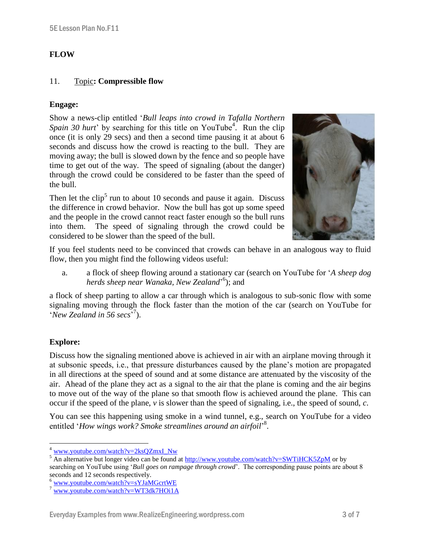### **FLOW**

#### 11. Topic**: Compressible flow**

#### **Engage:**

Show a news-clip entitled '*Bull leaps into crowd in Tafalla Northern*  Spain 30 hurt' by searching for this title on YouTube<sup>4</sup>. Run the clip once (it is only 29 secs) and then a second time pausing it at about 6 seconds and discuss how the crowd is reacting to the bull. They are moving away; the bull is slowed down by the fence and so people have time to get out of the way. The speed of signaling (about the danger) through the crowd could be considered to be faster than the speed of the bull.

Then let the  $\text{clip}^5$  run to about 10 seconds and pause it again. Discuss the difference in crowd behavior. Now the bull has got up some speed and the people in the crowd cannot react faster enough so the bull runs into them. The speed of signaling through the crowd could be considered to be slower than the speed of the bull.



If you feel students need to be convinced that crowds can behave in an analogous way to fluid flow, then you might find the following videos useful:

a. a flock of sheep flowing around a stationary car (search on YouTube for '*A sheep dog herds sheep near Wanaka, New Zealand*' 6 ); and

a flock of sheep parting to allow a car through which is analogous to sub-sonic flow with some signaling moving through the flock faster than the motion of the car (search on YouTube for 'New Zealand in 56 secs<sup>'7</sup>).

# **Explore:**

 $\overline{a}$ 

Discuss how the signaling mentioned above is achieved in air with an airplane moving through it at subsonic speeds, i.e., that pressure disturbances caused by the plane's motion are propagated in all directions at the speed of sound and at some distance are attenuated by the viscosity of the air. Ahead of the plane they act as a signal to the air that the plane is coming and the air begins to move out of the way of the plane so that smooth flow is achieved around the plane. This can occur if the speed of the plane, *v* is slower than the speed of signaling, i.e., the speed of sound, *c*.

You can see this happening using smoke in a wind tunnel, e.g., search on YouTube for a video entitled 'How wings work? Smoke streamlines around an airfoil<sup>'8</sup>.

<sup>&</sup>lt;sup>4</sup> [www.youtube.com/watch?v=2ksQZmxI\\_Nw](http://www.youtube.com/watch?v=2ksQZmxI_Nw)

<sup>&</sup>lt;sup>5</sup> An alternative but longer video can be found at<http://www.youtube.com/watch?v=SWTiHCK5ZpM> or by searching on YouTube using '*Bull goes on rampage through crowd*'. The corresponding pause points are about 8 seconds and 12 seconds respectively.

<sup>6</sup> [www.youtube.com/watch?v=sYJaMGcrtWE](http://www.youtube.com/watch?v=sYJaMGcrtWE)

<sup>7</sup> [www.youtube.com/watch?v=WT3dk7HOi1A](http://www.youtube.com/watch?v=WT3dk7HOi1A)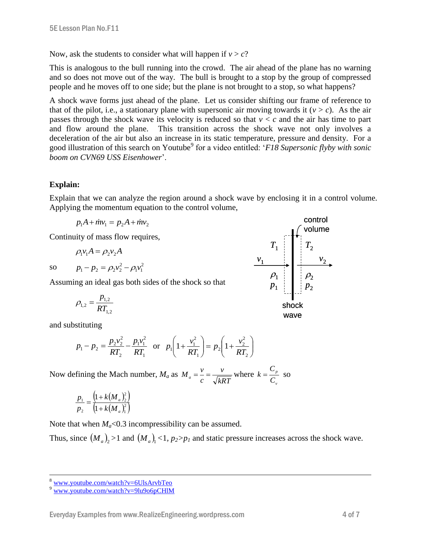Now, ask the students to consider what will happen if  $v > c$ ?

This is analogous to the bull running into the crowd. The air ahead of the plane has no warning and so does not move out of the way. The bull is brought to a stop by the group of compressed people and he moves off to one side; but the plane is not brought to a stop, so what happens?

A shock wave forms just ahead of the plane. Let us consider shifting our frame of reference to that of the pilot, i.e., a stationary plane with supersonic air moving towards it  $(v > c)$ . As the air passes through the shock wave its velocity is reduced so that  $v < c$  and the air has time to part and flow around the plane. This transition across the shock wave not only involves a deceleration of the air but also an increase in its static temperature, pressure and density. For a good illustration of this search on Youtube<sup>9</sup> for a video entitled: '*F18 Supersonic flyby with sonic boom on CVN69 USS Eisenhower*'.

# **Explain:**

Explain that we can analyze the region around a shock wave by enclosing it in a control volume. Applying the momentum equation to the control volume,

$$
p_1A + \dot{m}v_1 = p_2A + \dot{m}v_2
$$

Continuity of mass flow requires,

 $p_1 - p_2 = \rho_2 v_2^2 - \rho_1 v$ 

$$
\rho_1 v_1 A = \rho_2 v_2 A
$$

so

 $\overline{a}$ 

 $1\,\nu_1$ Assuming an ideal gas both sides of the shock so that

2

$$
\rho_{1,2} = \frac{p_{1,2}}{RT_{1,2}}
$$

and substituting

$$
p_1 - p_2 = \frac{p_2 v_2^2}{RT_2} - \frac{p_1 v_1^2}{RT_1}
$$
 or  $p_1 \left(1 + \frac{v_1^2}{RT_1}\right) = p_2 \left(1 + \frac{v_2^2}{RT_2}\right)$ 

Now defining the Mach number, *M<sup>a</sup>* as *kRT v c*  $M_a = \frac{v}{\sqrt{V_a^2}}$  where *v p C C*  $k = \frac{S_p}{S}$  so

$$
\frac{p_1}{p_2} = \frac{\left(1 + k(M_a)^2\right)}{\left(1 + k(M_a)^2\right)}
$$

Note that when  $M_a<0.3$  incompressibility can be assumed.

Thus, since  $(M_a)_2 > 1$  and  $(M_a)_1 < 1$ ,  $p_2 > p_1$  and static pressure increases across the shock wave.



<sup>8</sup> [www.youtube.com/watch?v=6UlsArvbTeo](http://www.youtube.com/watch?v=6UlsArvbTeo)

[www.youtube.com/watch?v=9lu9o6pCHlM](http://www.youtube.com/watch?v=9lu9o6pCHlM)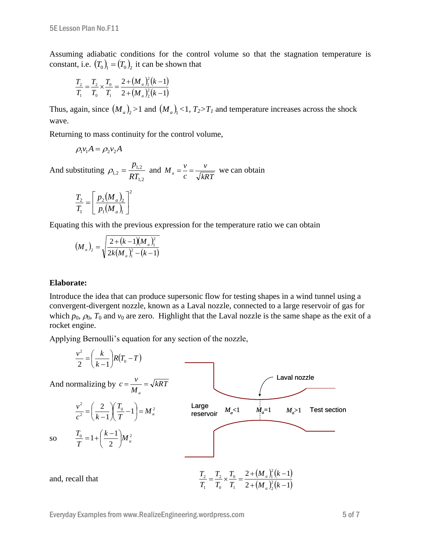Assuming adiabatic conditions for the control volume so that the stagnation temperature is constant, i.e.  $(T_0)$ <sub>1</sub> =  $(T_0)$ <sub>2</sub> it can be shown that

$$
\frac{T_2}{T_1} = \frac{T_2}{T_0} \times \frac{T_0}{T_1} = \frac{2 + (M_a)_1^2 (k - 1)}{2 + (M_a)_2^2 (k - 1)}
$$

Thus, again, since  $(M_a)_2 > 1$  and  $(M_a)_1 < 1$ ,  $T_2 > T_1$  and temperature increases across the shock wave.

Returning to mass continuity for the control volume,

$$
\rho_1 v_1 A = \rho_2 v_2 A
$$

And substituting 1,2 1,2  $r_{1,2} - RT$ *p*  $\rho_{12} = \frac{P_{1,2}}{P_{12}}$  and *kRT v c*  $M_a = \frac{v}{\sqrt{V} \cdot \sqrt{V}}$  we can obtain

$$
\frac{T_2}{T_1} = \left[\frac{p_2(M_a)_2}{p_1(M_a)_1}\right]^2
$$

Equating this with the previous expression for the temperature ratio we can obtain

$$
(M_a)_2 = \sqrt{\frac{2 + (k-1)(M_a)_1^2}{2k(M_a)_1^2 - (k-1)}}
$$

#### **Elaborate:**

Introduce the idea that can produce supersonic flow for testing shapes in a wind tunnel using a convergent-divergent nozzle, known as a Laval nozzle, connected to a large reservoir of gas for which  $p_0$ ,  $\Omega_0$ ,  $T_0$  and  $v_0$  are zero. Highlight that the Laval nozzle is the same shape as the exit of a rocket engine.

Applying Bernoulli's equation for any section of the nozzle,

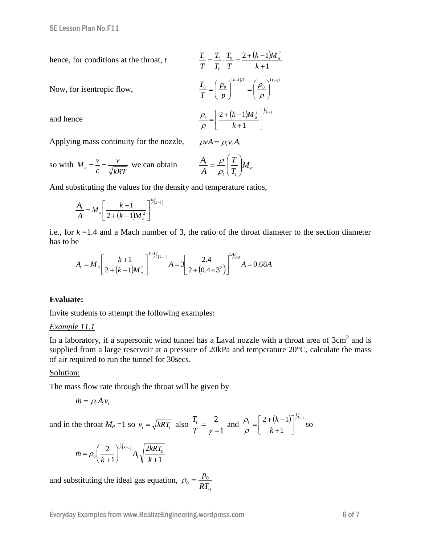hence, for conditions at the throat, *t*

 $(k-1)$ 1  $\int_0^1 2 + (k-1) M_a^2$  $\int_0^T$   $k +$  $=\frac{T_{t}}{T_{0}}\cdot\frac{T_{0}}{T_{0}}=\frac{2+(k-1)}{T_{0}}$ *k k M T T T T T*  $T_{t} = T_{t}$   $T_{0} = 2 + (k-1)M_{a}^{2}$  $(k-1)/k$   $(k-1)$  $\mathbf{0}$ 1  $0 \perp \mid F_0$  $(-1)/k$  (k- $\overline{\phantom{a}}$ J  $\backslash$  $\overline{\phantom{a}}$  $\setminus$  $\Bigg)^{(\kappa-1)/\kappa} = \Bigg($ J  $\backslash$  $\overline{\phantom{a}}$  $\backslash$  $=\bigg($  $(k-1)/k$  (k *p p T T*  $\rho$  $\rho$  $(k-1)M_{a}^{2}\big]^{1/2}$  $2 + (k-1)M_{a}^{2}$ <sup> $7k-$ </sup>  $\overline{\phantom{a}}$  $\overline{a}$  $\mu_{t} = \left[ \frac{2 + (k-1)M_a^2}{L} \right]^{k}$ *k M*

 $\mathbf{r}$ L

 $\rho$  $\rho_{\scriptscriptstyle \rm i}$ 

1

 $\ddot{}$ 

*k*

 $\overline{\phantom{a}}$ J

$$
f_{\rm{max}}(x)=\frac{1}{2}x
$$

and hence

Now, for isentropic flow,

Applying mass continuity for the nozzle,  $\rho v A = \rho_r v_r A_r$ 

so with 
$$
M_a = \frac{v}{c} = \frac{v}{\sqrt{kRT}}
$$
 we can obtain  $\frac{A_t}{A} = \frac{\rho}{\rho_t} \left(\frac{T}{T_t}\right) M_a$ 

And substituting the values for the density and temperature ratios,

$$
\frac{A_{i}}{A} = M_{a} \left[ \frac{k+1}{2+(k-1)M_{a}^{2}} \right]^{k/(k-1)}
$$

i.e., for  $k = 1.4$  and a Mach number of 3, the ratio of the throat diameter to the section diameter has to be

e  

$$
A_{i} = M_{a} \left[ \frac{k+1}{2+(k-1)M_{a}^{2}} \right]^{k+\frac{1}{2}(k-1)} A = 3 \left[ \frac{2.4}{2+(0.4 \times 3^{2})} \right]^{1+\frac{1}{2}(8)} A = 0.68A
$$

#### **Evaluate:**

Invite students to attempt the following examples:

#### *Example 11.1*

In a laboratory, if a supersonic wind tunnel has a Laval nozzle with a throat area of  $3cm<sup>2</sup>$  and is supplied from a large reservoir at a pressure of 20kPa and temperature 20°C, calculate the mass of air required to run the tunnel for 30secs.

#### Solution:

The mass flow rate through the throat will be given by

$$
\dot{m} = \rho_t A_t v_t
$$

and in the throat  $M_a = 1$  so  $v_t = \sqrt{kRT_t}$  also 1 2  $\ddot{}$  $=$  $T \gamma$  $\frac{T_t}{T} = \frac{2}{\pi}$  and  $\frac{\rho_t}{T} = \left[\frac{2 + (k-1)}{1 + (k-1)}\right]^{1/2}$ 1  $2 + (k-1)^{k-1}$  $\overline{\phantom{a}}$  $\overline{\phantom{a}}$ L  $\mathbf{r}$  $^{+}$  $\frac{t}{t} = \left[ \frac{2 + (k-1)}{2} \right]^{k}$ *k k*  $\rho$  $\frac{\rho_t}{\rho} = \frac{2 + (k-1)}{1 - 1} \int_0^{\lambda - 1}$  so

$$
\dot{m} = \rho_0 \left(\frac{2}{k+1}\right)^{1/(k-1)} A_t \sqrt{\frac{2kRT_0}{k+1}}
$$

and substituting the ideal gas equation, 0  $b_0 = \frac{P_0}{RT_0}$  $p_0 = \frac{p}{\sqrt{p}}$